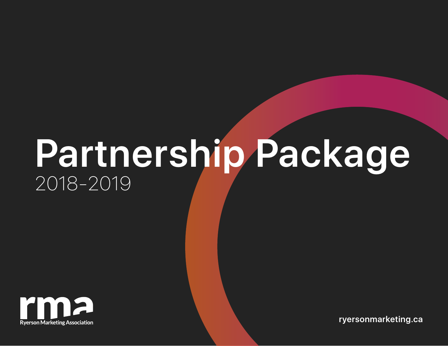# **Partnership Package** 2018-2019



**[ryersonmarketing.ca](http://ryersonmarketing.ca)**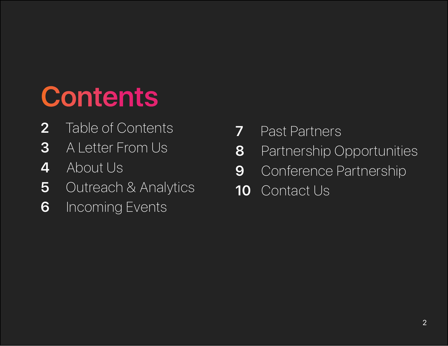# **Contents**

- Table of Contents
- A Letter From Us
- About Us
- Outreach & Analytics
- Incoming Events
- Past Partners
- Partnership Opportunities
- Conference Partnership
- 10 Contact Us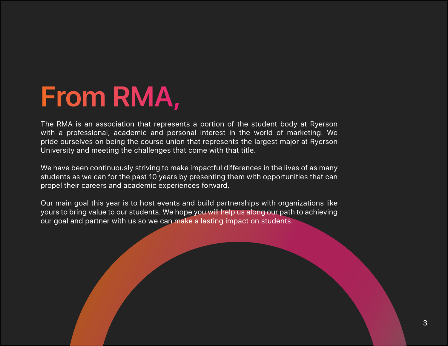### **From RMA,**

The RMA is an association that represents a portion of the student body at Ryerson with a professional, academic and personal interest in the world of marketing. We pride ourselves on being the course union that represents the largest major at Ryerson University and meeting the challenges that come with that title.

We have been continuously striving to make impactful differences in the lives of as many students as we can for the past 10 years by presenting them with opportunities that can propel their careers and academic experiences forward.

Our main goal this year is to host events and build partnerships with organizations like yours to bring value to our students. We hope you will help us along our path to achieving our goal and partner with us so we can make a lasting impact on students.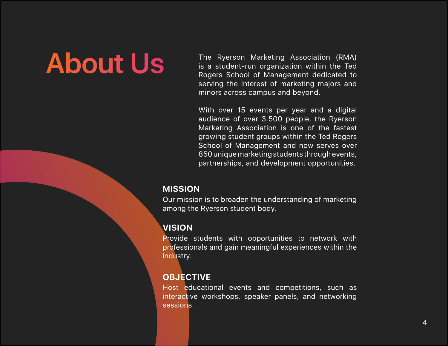### **About Us**

The Ryerson Marketing Association (RMA) is a student-run organization within the Ted Rogers School of Management dedicated to serving the interest of marketing majors and minors across campus and beyond.

With over 15 events per year and a digital audience of over 3,500 people, the Ryerson Marketing Association is one of the fastest growing student groups within the Ted Rogers School of Management and now serves over 850 unique marketing students through events, partnerships, and development opportunities.

#### **MISSION**

Our mission is to broaden the understanding of marketing among the Ryerson student body.

### **VISION**

Provide students with opportunities to network with professionals and gain meaningful experiences within the industry.

### **OBJECTIVE**

Host educational events and competitions, such as interactive workshops, speaker panels, and networking sessions.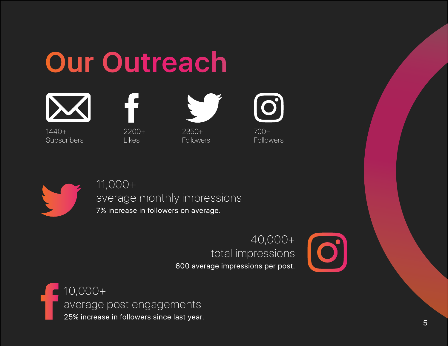





1440+ Subscribers

2200+ Likes



2350+ **Followers** 



700+ **Followers** 



### 11,000+

### average monthly impressions

7% increase in followers on average.

### 40,000+ total impressions

600 average impressions per post.



10,000+ average post engagements 25% increase in followers since last year.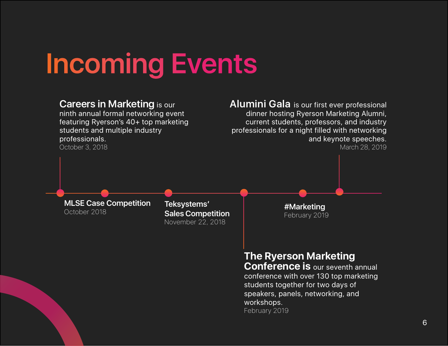## **Incoming Events**



February 2019

6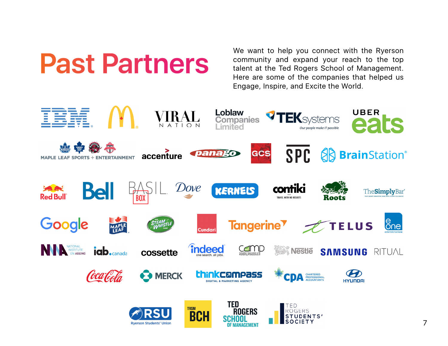

community and expand your reach to the top talent at the Ted Rogers School of Management. Here are some of the companies that helped us Engage, Inspire, and Excite the World.

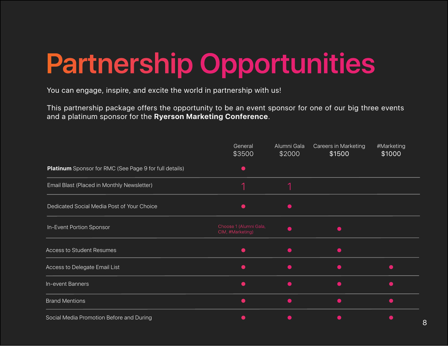# **Partnership Opportunities**

You can engage, inspire, and excite the world in partnership with us!

This partnership package offers the opportunity to be an event sponsor for one of our big three events and a platinum sponsor for the **Ryerson Marketing Conference**.

|                                                        | General<br>\$3500                          | Alumni Gala<br>\$2000 | <b>Careers in Marketing</b><br>\$1500 | #Marketing<br>\$1000 |
|--------------------------------------------------------|--------------------------------------------|-----------------------|---------------------------------------|----------------------|
| Platinum Sponsor for RMC (See Page 9 for full details) |                                            |                       |                                       |                      |
| Email Blast (Placed in Monthly Newsletter)             | ◀                                          | ◢                     |                                       |                      |
| Dedicated Social Media Post of Your Choice             |                                            |                       |                                       |                      |
| In-Event Portion Sponsor                               | Choose 1 (Alumni Gala,<br>CIM, #Marketing) |                       |                                       |                      |
| <b>Access to Student Resumes</b>                       |                                            |                       |                                       |                      |
| Access to Delegate Email List                          |                                            |                       |                                       |                      |
| In-event Banners                                       |                                            |                       |                                       |                      |
| <b>Brand Mentions</b>                                  |                                            |                       |                                       |                      |
| Social Media Promotion Before and During               |                                            |                       |                                       |                      |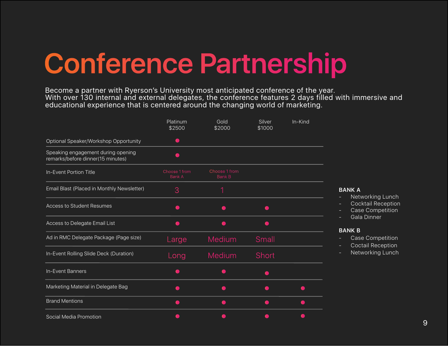### **Conference Partnership**

Become a partner with Ryerson's University most anticipated conference of the year. With over 130 internal and external delegates, the conference features 2 days filled with immersive and educational experience that is centered around the changing world of marketing.

|                                                                         | Platinum<br>\$2500             | Gold<br>\$2000                 | Silver<br>\$1000 | In-Kind |
|-------------------------------------------------------------------------|--------------------------------|--------------------------------|------------------|---------|
| Optional Speaker/Workshop Opportunity                                   | $\blacksquare$                 |                                |                  |         |
| Speaking engagement during opening<br>remarks/before dinner(15 minutes) |                                |                                |                  |         |
| In-Event Portion Title                                                  | Choose 1 from<br><b>Bank A</b> | Choose 1 from<br><b>Bank B</b> |                  |         |
| Email Blast (Placed in Monthly Newsletter)                              | 3                              | 1                              |                  |         |
| <b>Access to Student Resumes</b>                                        |                                |                                |                  |         |
| Access to Delegate Email List                                           |                                |                                |                  |         |
| Ad in RMC Delegate Package (Page size)                                  | Large                          | <b>Medium</b>                  | Small            |         |
| In-Event Rolling Slide Deck (Duration)                                  | Long                           | <b>Medium</b>                  | <b>Short</b>     |         |
| In-Event Banners                                                        |                                |                                |                  |         |
| Marketing Material in Delegate Bag                                      |                                |                                |                  |         |
| <b>Brand Mentions</b>                                                   |                                |                                |                  |         |
| Social Media Promotion                                                  |                                |                                |                  |         |

#### **BANK A**

- **Networking Lunch**
- Cocktail Reception
- Case Competition
- Gala Dinner

#### **BANK B**

- Case Competition
- Coctail Reception
- Networking Lunch